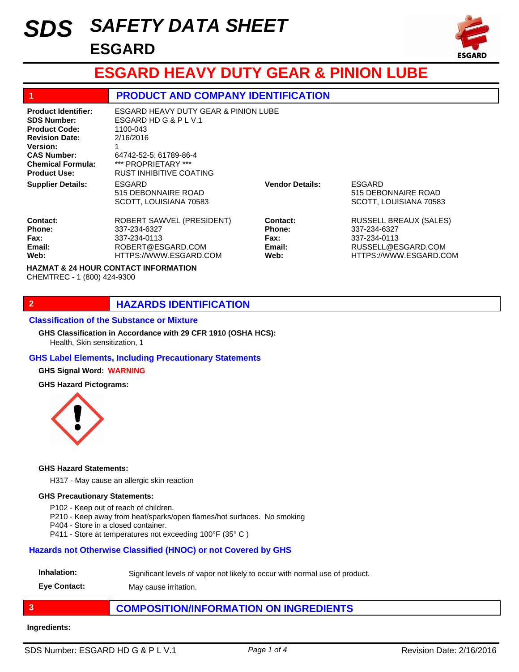# *SAFETY DATA SHEET SDS* **ESGARD**



# **ESGARD HEAVY DUTY GEAR & PINION LUBE**

## **1 PRODUCT AND COMPANY IDENTIFICATION**

| <b>Product Identifier:</b><br><b>SDS Number:</b><br><b>Product Code:</b><br><b>Revision Date:</b><br><b>Version:</b><br><b>CAS Number:</b><br><b>Chemical Formula:</b><br><b>Product Use:</b> | ESGARD HEAVY DUTY GEAR & PINION LUBE<br>ESGARD HD G & P L V.1<br>1100-043<br>2/16/2016<br>64742-52-5: 61789-86-4<br>*** PROPRIETARY ***<br><b>RUST INHIBITIVE COATING</b> |                                                            |                                                                                                               |
|-----------------------------------------------------------------------------------------------------------------------------------------------------------------------------------------------|---------------------------------------------------------------------------------------------------------------------------------------------------------------------------|------------------------------------------------------------|---------------------------------------------------------------------------------------------------------------|
| <b>Supplier Details:</b>                                                                                                                                                                      | ESGARD<br>515 DEBONNAIRE ROAD<br>SCOTT, LOUISIANA 70583                                                                                                                   | <b>Vendor Details:</b>                                     | ESGARD<br>515 DEBONNAIRE ROAD<br>SCOTT, LOUISIANA 70583                                                       |
| Contact:<br>Phone:<br>Fax:<br>Email:<br>Web:                                                                                                                                                  | ROBERT SAWVEL (PRESIDENT)<br>337-234-6327<br>337-234-0113<br>ROBERT@ESGARD.COM<br>HTTPS://WWW.ESGARD.COM                                                                  | Contact:<br><b>Phone:</b><br><b>Fax:</b><br>Email:<br>Web: | <b>RUSSELL BREAUX (SALES)</b><br>337-234-6327<br>337-234-0113<br>RUSSELL@ESGARD.COM<br>HTTPS://WWW.ESGARD.COM |
| <b>HAZMAT &amp; 24 HOUR CONTACT INFORMATION</b><br>CHEMTREC - 1 (800) 424-9300                                                                                                                |                                                                                                                                                                           |                                                            |                                                                                                               |

## **2 HAZARDS IDENTIFICATION**

#### **Classification of the Substance or Mixture**

Health, Skin sensitization, 1 **GHS Classification in Accordance with 29 CFR 1910 (OSHA HCS):**

### **GHS Label Elements, Including Precautionary Statements**

#### **GHS Signal Word: WARNING**

#### **GHS Hazard Pictograms:**



#### **GHS Hazard Statements:**

H317 - May cause an allergic skin reaction

#### **GHS Precautionary Statements:**

- P102 Keep out of reach of children.
- P210 Keep away from heat/sparks/open flames/hot surfaces. No smoking
- P404 Store in a closed container.
- P411 Store at temperatures not exceeding 100°F (35° C )

### **Hazards not Otherwise Classified (HNOC) or not Covered by GHS**

#### **Inhalation:** Significant levels of vapor not likely to occur with normal use of product.

**Eye Contact:** May cause irritation.

## **3 COMPOSITION/INFORMATION ON INGREDIENTS**

#### **Ingredients:**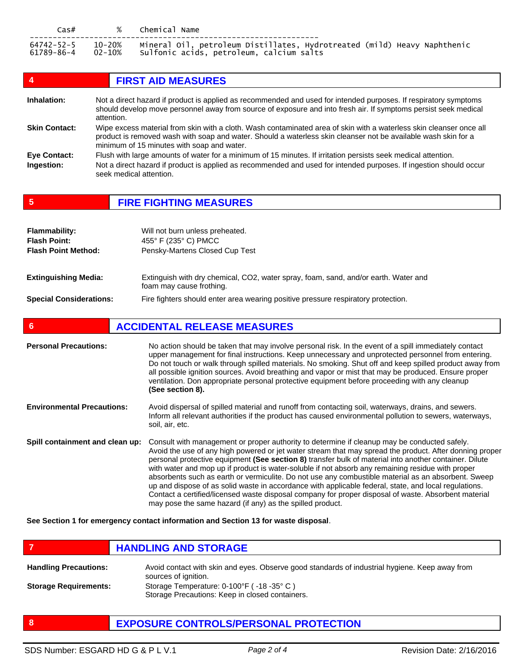| Cas#       | $\%$   | Chemical Name                                                            |
|------------|--------|--------------------------------------------------------------------------|
| 64742-52-5 | 10-20% | Mineral Oil, petroleum Distillates, Hydrotreated (mild) Heavy Naphthenic |
| 61789-86-4 | 02-10% | sulfonic acids, petroleum, calcium salts                                 |

| 4                    | <b>FIRST AID MEASURES</b>                                                                                                                                                                                                                                                           |
|----------------------|-------------------------------------------------------------------------------------------------------------------------------------------------------------------------------------------------------------------------------------------------------------------------------------|
| Inhalation:          | Not a direct hazard if product is applied as recommended and used for intended purposes. If respiratory symptoms<br>should develop move personnel away from source of exposure and into fresh air. If symptoms persist seek medical<br>attention.                                   |
| <b>Skin Contact:</b> | Wipe excess material from skin with a cloth. Wash contaminated area of skin with a waterless skin cleanser once all<br>product is removed wash with soap and water. Should a waterless skin cleanser not be available wash skin for a<br>minimum of 15 minutes with soap and water. |
| <b>Eye Contact:</b>  | Flush with large amounts of water for a minimum of 15 minutes. If irritation persists seek medical attention.                                                                                                                                                                       |
| Ingestion:           | Not a direct hazard if product is applied as recommended and used for intended purposes. If ingestion should occur<br>seek medical attention.                                                                                                                                       |

# **5 FIRE FIGHTING MEASURES**

| <b>Flammability:</b>           | Will not burn unless preheated.                                                                                 |
|--------------------------------|-----------------------------------------------------------------------------------------------------------------|
| <b>Flash Point:</b>            | 455° F (235° C) PMCC                                                                                            |
| <b>Flash Point Method:</b>     | Pensky-Martens Closed Cup Test                                                                                  |
| <b>Extinguishing Media:</b>    | Extinguish with dry chemical, CO2, water spray, foam, sand, and/or earth. Water and<br>foam may cause frothing. |
| <b>Special Considerations:</b> | Fire fighters should enter area wearing positive pressure respiratory protection.                               |

# **6 ACCIDENTAL RELEASE MEASURES**

| <b>Personal Precautions:</b>      | No action should be taken that may involve personal risk. In the event of a spill immediately contact<br>upper management for final instructions. Keep unnecessary and unprotected personnel from entering.<br>Do not touch or walk through spilled materials. No smoking. Shut off and keep spilled product away from<br>all possible ignition sources. Avoid breathing and vapor or mist that may be produced. Ensure proper<br>ventilation. Don appropriate personal protective equipment before proceeding with any cleanup<br>(See section 8).                                                                                                                                                                                                                                                         |
|-----------------------------------|-------------------------------------------------------------------------------------------------------------------------------------------------------------------------------------------------------------------------------------------------------------------------------------------------------------------------------------------------------------------------------------------------------------------------------------------------------------------------------------------------------------------------------------------------------------------------------------------------------------------------------------------------------------------------------------------------------------------------------------------------------------------------------------------------------------|
| <b>Environmental Precautions:</b> | Avoid dispersal of spilled material and runoff from contacting soil, waterways, drains, and sewers.<br>Inform all relevant authorities if the product has caused environmental pollution to sewers, waterways,<br>soil, air, etc.                                                                                                                                                                                                                                                                                                                                                                                                                                                                                                                                                                           |
| Spill containment and clean up:   | Consult with management or proper authority to determine if cleanup may be conducted safely.<br>Avoid the use of any high powered or jet water stream that may spread the product. After donning proper<br>personal protective equipment (See section 8) transfer bulk of material into another container. Dilute<br>with water and mop up if product is water-soluble if not absorb any remaining residue with proper<br>absorbents such as earth or vermiculite. Do not use any combustible material as an absorbent. Sweep<br>up and dispose of as solid waste in accordance with applicable federal, state, and local regulations.<br>Contact a certified/licensed waste disposal company for proper disposal of waste. Absorbent material<br>may pose the same hazard (if any) as the spilled product. |

**See Section 1 for emergency contact information and Section 13 for waste disposal**.

**FIGURE 12 IN STORAGE** 

| <b>Handling Precautions:</b> | Avoid contact with skin and eyes. Observe good standards of industrial hygiene. Keep away from<br>sources of ignition. |
|------------------------------|------------------------------------------------------------------------------------------------------------------------|
| <b>Storage Requirements:</b> | Storage Temperature: $0-100^{\circ}F$ ( $-18-35^{\circ}C$ )<br>Storage Precautions: Keep in closed containers.         |

**8 EXPOSURE CONTROLS/PERSONAL PROTECTION**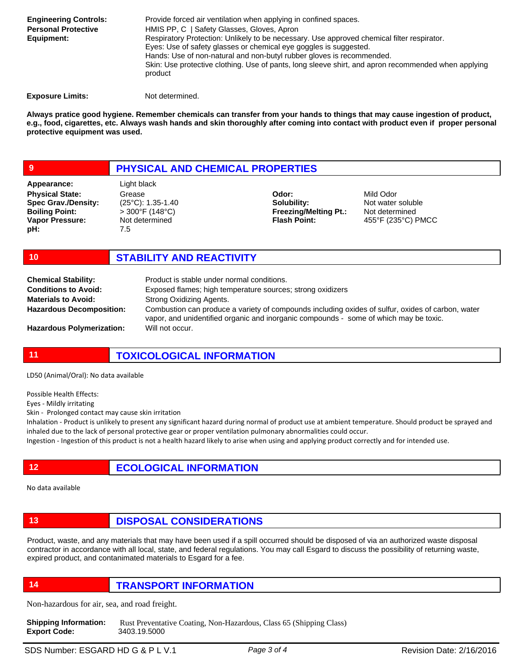| <b>Engineering Controls:</b> | Provide forced air ventilation when applying in confined spaces.                                               |
|------------------------------|----------------------------------------------------------------------------------------------------------------|
| <b>Personal Protective</b>   | HMIS PP, C   Safety Glasses, Gloves, Apron                                                                     |
| Equipment:                   | Respiratory Protection: Unlikely to be necessary. Use approved chemical filter respirator.                     |
|                              | Eyes: Use of safety glasses or chemical eye goggles is suggested.                                              |
|                              | Hands: Use of non-natural and non-butyl rubber gloves is recommended.                                          |
|                              | Skin: Use protective clothing. Use of pants, long sleeve shirt, and apron recommended when applying<br>product |
|                              |                                                                                                                |

**Exposure Limits:** Not determined.

**Always pratice good hygiene. Remember chemicals can transfer from your hands to things that may cause ingestion of product, e.g., food, cigarettes, etc. Always wash hands and skin thoroughly after coming into contact with product even if proper personal protective equipment was used.** 

# **9 PHYSICAL AND CHEMICAL PROPERTIES**

**Physical State: Spec Grav./Density: Boiling Point: Vapor Pressure: pH: Appearance:** Light black

Grease (25°C): 1.35-1.40 > 300°F (148°C) Not determined 7.5

**Odor: Solubility: Freezing/Melting Pt.: Flash Point:**

Mild Odor Not water soluble Not determined 455°F (235°C) PMCC

### **10 STABILITY AND REACTIVITY**

| <b>Chemical Stability:</b>       | Product is stable under normal conditions.                                                                                                                                                 |
|----------------------------------|--------------------------------------------------------------------------------------------------------------------------------------------------------------------------------------------|
| <b>Conditions to Avoid:</b>      | Exposed flames; high temperature sources; strong oxidizers                                                                                                                                 |
| <b>Materials to Avoid:</b>       | Strong Oxidizing Agents.                                                                                                                                                                   |
| <b>Hazardous Decomposition:</b>  | Combustion can produce a variety of compounds including oxides of sulfur, oxides of carbon, water<br>vapor, and unidentified organic and inorganic compounds - some of which may be toxic. |
| <b>Hazardous Polymerization:</b> | Will not occur.                                                                                                                                                                            |

# **11 TOXICOLOGICAL INFORMATION**

LD50 (Animal/Oral): No data available

Possible Health Effects:

Eyes - Mildly irritating

Skin - Prolonged contact may cause skin irritation

Inhalation - Product is unlikely to present any significant hazard during normal of product use at ambient temperature. Should product be sprayed and inhaled due to the lack of personal protective gear or proper ventilation pulmonary abnormalities could occur.

Ingestion - Ingestion of this product is not a health hazard likely to arise when using and applying product correctly and for intended use.

**12 ECOLOGICAL INFORMATION** 

No data available

# **13 DISPOSAL CONSIDERATIONS**

Product, waste, and any materials that may have been used if a spill occurred should be disposed of via an authorized waste disposal contractor in accordance with all local, state, and federal regulations. You may call Esgard to discuss the possibility of returning waste, expired product, and contanimated materials to Esgard for a fee.

**14 TRANSPORT INFORMATION**

Non-hazardous for air, sea, and road freight.

**Shipping Information:** Rust Preventative Coating, Non-Hazardous, Class 65 (Shipping Class) **Export Code:** 3403.19.5000